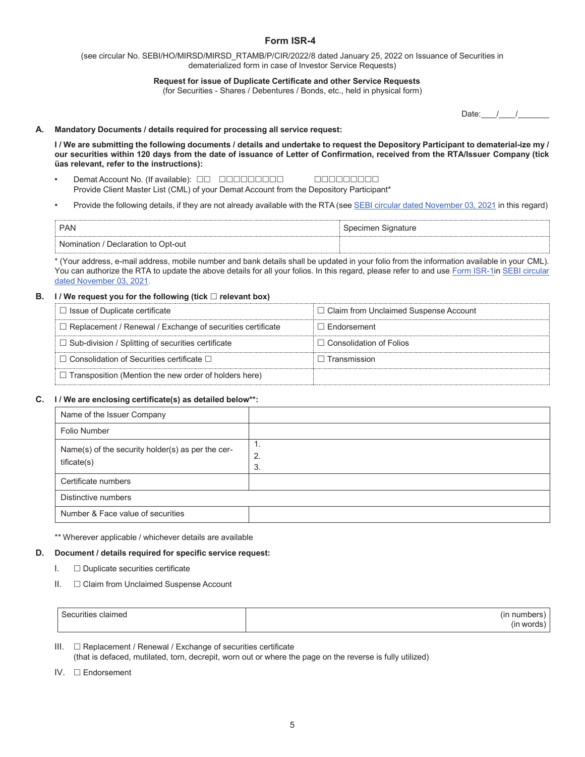# **Form ISR-4**

### (see circular No. SEBI/HO/MIRSD/MIRSD\_RTAMB/P/CIR/2022/8 dated January 25, 2022 on Issuance of Securities in dematerialized form in case of Investor Service Requests)

#### **Request for issue of Duplicate Certificate and other Service Requests**

(for Securities - Shares / Debentures / Bonds, etc., held in physical form)

### **A. Mandatory Documents / details required for processing all service request:**

**I** / We are submitting the following documents / details and undertake to request the Depository Participant to dematerial-ize my / **our securities within 120 days from the date of issuance of Letter of Confirmation, received from the RTA/Issuer Company (tick üas relevant, refer to the instructions):**

- **Demat Account No. (If available):**  $\Box \Box$  **DEDEDEDEDENTIAL DEDEDEDENTIAL** Provide Client Master List (CML) of your Demat Account from the Depository Participant\*
- Provide the following details, if they are not already available with the RTA (see SEBI circular dated November 03, 2021 in this regard)

| <b>PAN</b>                          | Specimen Signature |
|-------------------------------------|--------------------|
| Nomination / Declaration to Opt-out |                    |

\* (Your address, e-mail address, mobile number and bank details shall be updated in your folio from the information available in your CML). You can authorize the RTA to update the above details for all your folios. In this regard, please refer to and use Form ISR-1 in SEBI circular dated November 03, 2021.

## B. I / We request you for the following (tick  $\Box$  relevant box)

| $\Box$ Issue of Duplicate certificate                             | $\Box$ Claim from Unclaimed Suspense Account |
|-------------------------------------------------------------------|----------------------------------------------|
| $\Box$ Replacement / Renewal / Exchange of securities certificate | $\Box$ Endorsement                           |
| $\Box$ Sub-division / Splitting of securities certificate         | $\Box$ Consolidation of Folios               |
| $\Box$ Consolidation of Securities certificate $\Box$             | $\Box$ Transmission                          |
| $\Box$ Transposition (Mention the new order of holders here)      |                                              |

### **C. I / We are enclosing certificate(s) as detailed below\*\*:**

| Name of the Issuer Company                                       |          |  |
|------------------------------------------------------------------|----------|--|
| Folio Number                                                     |          |  |
| Name(s) of the security holder(s) as per the cer-<br>tificate(s) | 2.<br>3. |  |
| Certificate numbers                                              |          |  |
| Distinctive numbers                                              |          |  |
| Number & Face value of securities                                |          |  |

\*\* Wherever applicable / whichever details are available

### **D. Document / details required for specific service request:**

- I. Duplicate securities certificate
- II. Claim from Unclaimed Suspense Account

| Securities | numb |
|------------|------|
| claimed    | (1P) |
| лше:       | $ -$ |
|            |      |
|            |      |

- $III.$   $\Box$  Replacement / Renewal / Exchange of securities certificate (that is defaced, mutilated, torn, decrepit, worn out or where the page on the reverse is fully utilized)
- IV. Endorsement